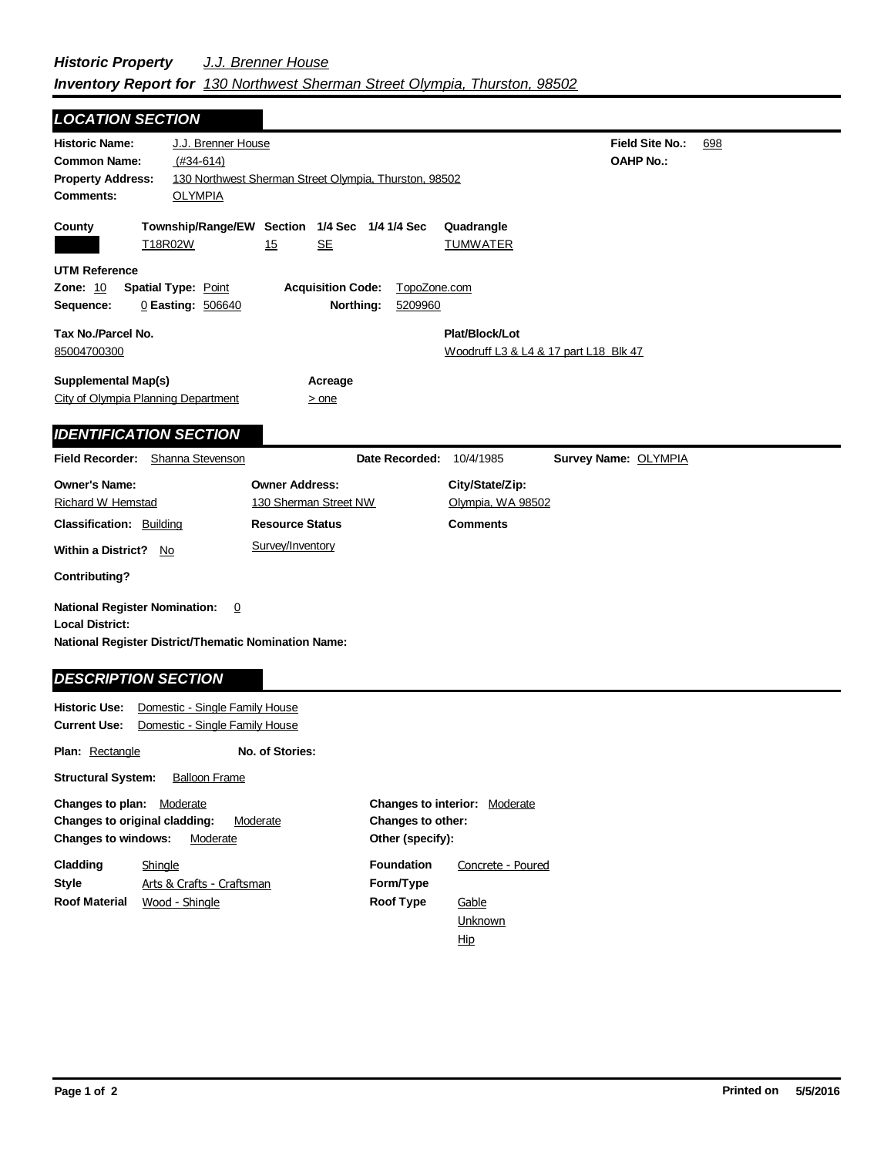## *Historic Property J.J. Brenner House Inventory Report for 130 Northwest Sherman Street Olympia, Thurston, 98502*

| <b>LOCATION SECTION</b>                                                                                                                                     |                                                                                                              |                                                |                                              |                               |                                                         |                                            |     |
|-------------------------------------------------------------------------------------------------------------------------------------------------------------|--------------------------------------------------------------------------------------------------------------|------------------------------------------------|----------------------------------------------|-------------------------------|---------------------------------------------------------|--------------------------------------------|-----|
| <b>Historic Name:</b><br><b>Common Name:</b><br><b>Property Address:</b><br><b>Comments:</b>                                                                | J.J. Brenner House<br>$(#34-614)$<br>130 Northwest Sherman Street Olympia, Thurston, 98502<br><b>OLYMPIA</b> |                                                |                                              |                               |                                                         | <b>Field Site No.:</b><br><b>OAHP No.:</b> | 698 |
| County<br>T18R02W                                                                                                                                           | Township/Range/EW Section 1/4 Sec 1/4 1/4 Sec                                                                | 15                                             | <u>SE</u>                                    |                               | Quadrangle<br><b>TUMWATER</b>                           |                                            |     |
| <b>UTM Reference</b><br>Zone: 10<br><b>Spatial Type: Point</b><br>Sequence:                                                                                 | 0 Easting: 506640                                                                                            |                                                | <b>Acquisition Code:</b><br>Northing:        | TopoZone.com<br>5209960       |                                                         |                                            |     |
| Tax No./Parcel No.<br>85004700300                                                                                                                           |                                                                                                              |                                                |                                              |                               | Plat/Block/Lot<br>Woodruff L3 & L4 & 17 part L18 Blk 47 |                                            |     |
| Supplemental Map(s)<br>City of Olympia Planning Department                                                                                                  |                                                                                                              |                                                | Acreage<br>$>$ one                           |                               |                                                         |                                            |     |
| <b>IDENTIFICATION SECTION</b>                                                                                                                               |                                                                                                              |                                                |                                              |                               |                                                         |                                            |     |
| Field Recorder: Shanna Stevenson                                                                                                                            |                                                                                                              |                                                |                                              | Date Recorded:                | 10/4/1985                                               | Survey Name: OLYMPIA                       |     |
| <b>Owner's Name:</b><br>Richard W Hemstad                                                                                                                   |                                                                                                              | <b>Owner Address:</b><br>130 Sherman Street NW |                                              |                               | City/State/Zip:<br>Olympia, WA 98502                    |                                            |     |
| <b>Classification: Building</b>                                                                                                                             |                                                                                                              | <b>Resource Status</b>                         |                                              |                               | <b>Comments</b>                                         |                                            |     |
| Within a District? No                                                                                                                                       |                                                                                                              | Survey/Inventory                               |                                              |                               |                                                         |                                            |     |
| Contributing?                                                                                                                                               |                                                                                                              |                                                |                                              |                               |                                                         |                                            |     |
| <b>National Register Nomination:</b><br><b>Local District:</b><br><b>National Register District/Thematic Nomination Name:</b><br><b>DESCRIPTION SECTION</b> | $\overline{0}$                                                                                               |                                                |                                              |                               |                                                         |                                            |     |
| <b>Historic Use:</b><br><b>Current Use:</b>                                                                                                                 | Domestic - Single Family House<br>Domestic - Single Family House                                             |                                                |                                              |                               |                                                         |                                            |     |
| <b>Plan: Rectangle</b>                                                                                                                                      |                                                                                                              | No. of Stories:                                |                                              |                               |                                                         |                                            |     |
| <b>Structural System:</b>                                                                                                                                   | <b>Balloon Frame</b>                                                                                         |                                                |                                              |                               |                                                         |                                            |     |
| Changes to plan: Moderate<br>Changes to original cladding:<br>Moderate<br><b>Changes to windows:</b><br>Moderate                                            |                                                                                                              |                                                | <b>Changes to other:</b><br>Other (specify): | Changes to interior: Moderate |                                                         |                                            |     |

| Cladding             | Shingle                   | <b>Foundation</b> | Concrete - Poured |
|----------------------|---------------------------|-------------------|-------------------|
| <b>Style</b>         | Arts & Crafts - Craftsman | Form/Type         |                   |
| <b>Roof Material</b> | Wood - Shingle            | <b>Roof Type</b>  | Gable             |
|                      |                           |                   | Unknown           |
|                      |                           |                   | Hip               |